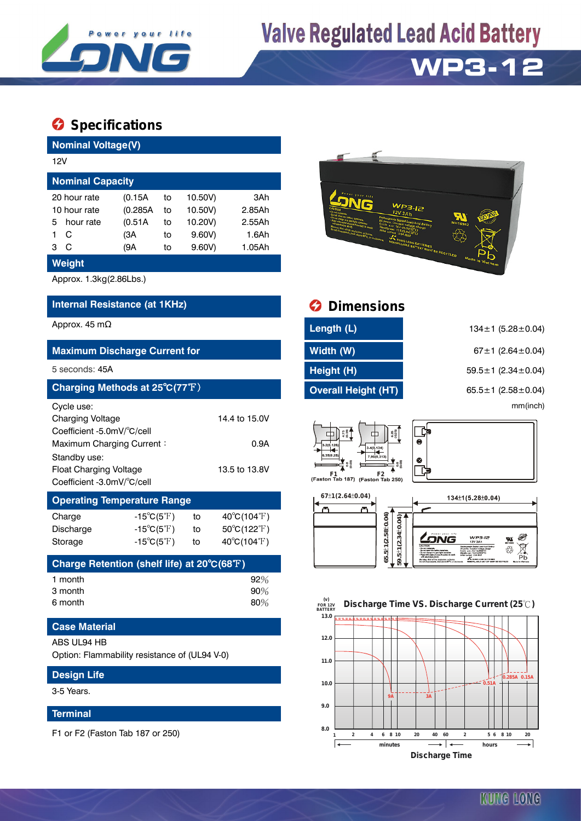

## **Valve Regulated Lead Acid Battery**

## **WP3-12**

#### **Specifications**

| <b>Nominal Voltage(V)</b>                                                  |                                                                  |                               |                             |                                                                                         |                                                          |
|----------------------------------------------------------------------------|------------------------------------------------------------------|-------------------------------|-----------------------------|-----------------------------------------------------------------------------------------|----------------------------------------------------------|
| 12V                                                                        |                                                                  |                               |                             |                                                                                         |                                                          |
| <b>Nominal Capacity</b>                                                    |                                                                  |                               |                             |                                                                                         |                                                          |
| 20 hour rate<br>10 hour rate<br>hour rate                                  | (0.15A)<br>to<br>(0.285A)<br>to<br>(0.51A)                       | 10.50V)<br>10.50V)<br>10.20V) | 3Ah<br>2.85Ah<br>2.55Ah     | <b>TOWER VOUS TIFE</b><br>$\blacksquare$                                                | SI-EAW                                                   |
| 5<br>C<br>1.                                                               | to<br>(3A)<br>to                                                 | $9.60V$ )                     | 1.6Ah                       |                                                                                         |                                                          |
| C<br>3                                                                     | (9A<br>to                                                        | 9.60V)                        | 1.05Ah                      |                                                                                         | ONG BATTERIES<br>LE BATTERY MUST BE RECYCLED             |
| Weight                                                                     |                                                                  |                               |                             |                                                                                         |                                                          |
| Approx. 1.3kg(2.86Lbs.)                                                    |                                                                  |                               |                             |                                                                                         |                                                          |
|                                                                            | Internal Resistance (at 1KHz)                                    |                               |                             | Ø<br><b>Dimensions</b>                                                                  |                                                          |
| Approx. 45 m $\Omega$                                                      |                                                                  |                               |                             | Length (L)                                                                              | 134 ± 1 $(5.28 \pm 0.04)$                                |
|                                                                            | <b>Maximum Discharge Current for</b>                             |                               |                             | Width (W)                                                                               | 67±1 (2.64±0.04)                                         |
| 5 seconds: 45A                                                             |                                                                  |                               |                             | Height (H)                                                                              | 59.5 ± 1 $(2.34 \pm 0.04)$                               |
|                                                                            | Charging Methods at 25°C(77°F)                                   |                               |                             | <b>Overall Height (HT)</b>                                                              | 65.5 ± 1 $(2.58 \pm 0.04)$                               |
| Cycle use:<br><b>Charging Voltage</b><br>Coefficient -5.0mV/°C/cell        |                                                                  |                               | 14.4 to 15.0V               | $6.35$<br>$(0.25)$<br>$\frac{4.75}{6.19}$<br>◫                                          | mm(inch)                                                 |
| Maximum Charging Current:<br>Standby use:<br><b>Float Charging Voltage</b> |                                                                  |                               | 0.9A<br>13.5 to 13.8V       | 3,4(0,134)<br>35(0.25<br>795(0.313<br>$F1$ F2 $F2$<br>(Faston Tab 187) (Faston Tab 250) | $\bullet$<br>О                                           |
| Coefficient -3.0mV/°C/cell                                                 |                                                                  |                               |                             | 67±1(2.64±0.04)                                                                         | 134±1(5.28±0.04)                                         |
| Charge                                                                     | <b>Operating Temperature Range</b><br>$-15^{\circ}C(5^{\circ}F)$ | to                            | $40^{\circ}C(104^{\circ}F)$ |                                                                                         |                                                          |
| Discharge                                                                  | $-15^{\circ}C(5^{\circ}F)$                                       | to                            | $50^{\circ}C(122^{\circ}F)$ |                                                                                         |                                                          |
| Storage                                                                    | $-15^{\circ}C(5^{\circ}F)$                                       | to                            | 40°C(104°F)                 | $65.5 \pm 1(2.58 \pm 0.04)$<br>$5 + 1(2.34 + 0.04)$                                     | Löng<br>WP3-12<br>12V 3Ah                                |
|                                                                            | Charge Retention (shelf life) at 20°C(68°F)                      |                               |                             | 59                                                                                      | Pb<br>X KUNG LONG BATTERIES<br>TIMAHA LABLE BATTERY MUST |
| 1 month                                                                    |                                                                  |                               | 92%                         |                                                                                         |                                                          |
| 3 month                                                                    |                                                                  |                               | 90%                         |                                                                                         |                                                          |
| 6 month                                                                    |                                                                  |                               | 80%                         | $(v)$ FOR 12V<br><b>BATTERY</b><br>13.0                                                 | Discharge Time VS. Discharge Current (25°C)              |
| <b>Case Material</b>                                                       |                                                                  |                               |                             | <u>====\$=====</u>                                                                      |                                                          |
| ABS UL94 HB                                                                |                                                                  |                               |                             | 12.0                                                                                    |                                                          |
|                                                                            | Option: Flammability resistance of (UL94 V-0)                    |                               |                             |                                                                                         |                                                          |



| <b>Dimensions</b>                                                                                                            |                                |
|------------------------------------------------------------------------------------------------------------------------------|--------------------------------|
| ngth (L)                                                                                                                     | $134 \pm 1$ (5.28 $\pm$ 0.04)  |
| dth (W)                                                                                                                      | $67 \pm 1$ (2.64 $\pm$ 0.04)   |
| ight (H)                                                                                                                     | $59.5 \pm 1$ (2.34 $\pm$ 0.04) |
| erall Height (HT)                                                                                                            | 65.5 ± 1 $(2.58 \pm 0.04)$     |
|                                                                                                                              | mm(inch)                       |
| $\frac{1}{2}$<br>$6.35$<br>$(0.25)$<br>2(0.126)<br>3,4(0,134)<br>.35(0.25)<br>7 95(0.313)<br>$\frac{8}{20}$<br>៓៓៓៓៓៓៓៓៓៓៓៓៓ | $\bullet$<br>●                 |



**Terminal**

**Design Life** 3-5 Years.

F1 or F2 (Faston Tab 187 or 250)